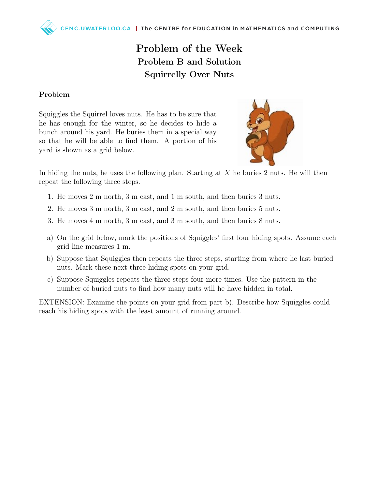## Problem of the Week Problem B and Solution Squirrelly Over Nuts

## Problem

Squiggles the Squirrel loves nuts. He has to be sure that he has enough for the winter, so he decides to hide a bunch around his yard. He buries them in a special way so that he will be able to find them. A portion of his yard is shown as a grid below.



In hiding the nuts, he uses the following plan. Starting at  $X$  he buries 2 nuts. He will then repeat the following three steps.

- 1. He moves 2 m north, 3 m east, and 1 m south, and then buries 3 nuts.
- 2. He moves 3 m north, 3 m east, and 2 m south, and then buries 5 nuts.
- 3. He moves 4 m north, 3 m east, and 3 m south, and then buries 8 nuts.
- a) On the grid below, mark the positions of Squiggles' first four hiding spots. Assume each grid line measures 1 m.
- b) Suppose that Squiggles then repeats the three steps, starting from where he last buried nuts. Mark these next three hiding spots on your grid.
- c) Suppose Squiggles repeats the three steps four more times. Use the pattern in the number of buried nuts to find how many nuts will he have hidden in total.

EXTENSION: Examine the points on your grid from part b). Describe how Squiggles could reach his hiding spots with the least amount of running around.